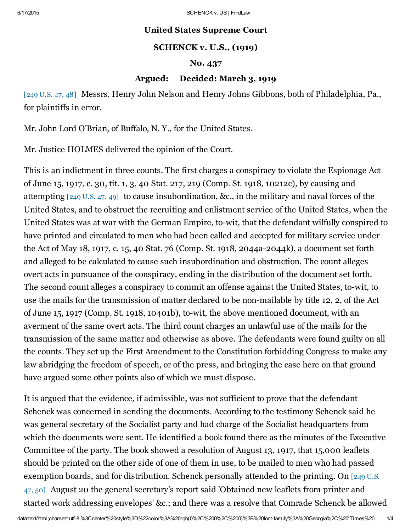6/17/2015 SCHENCK v. US | FindLaw

### United States Supreme Court

# SCHENCK v. U.S., (1919)

### No. 437

## Argued: Decided: March 3, 1919

[249 U.S. 47, 48] Messrs. Henry John Nelson and Henry Johns Gibbons, both of Philadelphia, Pa., for plaintiffs in error.

Mr. John Lord O'Brian, of Buffalo, N. Y., for the United States.

Mr. Justice HOLMES delivered the opinion of the Court.

This is an indictment in three counts. The first charges a conspiracy to violate the Espionage Act of June 15, 1917, c. 30, tit. 1, 3, 40 Stat. 217, 219 (Comp. St. 1918, 10212c), by causing and attempting [249 U.S. 47, 49] to cause insubordination, &c., in the military and naval forces of the United States, and to obstruct the recruiting and enlistment service of the United States, when the United States was at war with the German Empire, to-wit, that the defendant wilfully conspired to have printed and circulated to men who had been called and accepted for military service under the Act of May 18, 1917, c. 15, 40 Stat. 76 (Comp. St. 1918, 2044a-2044k), a document set forth and alleged to be calculated to cause such insubordination and obstruction. The count alleges overt acts in pursuance of the conspiracy, ending in the distribution of the document set forth. The second count alleges a conspiracy to commit an offense against the United States, to-wit, to use the mails for the transmission of matter declared to be non-mailable by title 12, 2, of the Act of June 15, 1917 (Comp. St. 1918, 10401b), towit, the above mentioned document, with an averment of the same overt acts. The third count charges an unlawful use of the mails for the transmission of the same matter and otherwise as above. The defendants were found guilty on all the counts. They set up the First Amendment to the Constitution forbidding Congress to make any law abridging the freedom of speech, or of the press, and bringing the case here on that ground have argued some other points also of which we must dispose.

It is argued that the evidence, if admissible, was not sufficient to prove that the defendant Schenck was concerned in sending the documents. According to the testimony Schenck said he was general secretary of the Socialist party and had charge of the Socialist headquarters from which the documents were sent. He identified a book found there as the minutes of the Executive Committee of the party. The book showed a resolution of August 13, 1917, that 15,000 leaflets should be printed on the other side of one of them in use, to be mailed to men who had passed exemption boards, and for distribution. Schenck personally attended to the printing. On [249 U.S. 47, 50] August 20 the general secretary's report said 'Obtained new leaflets from printer and started work addressing envelopes' &c.; and there was a resolve that Comrade Schenck be allowed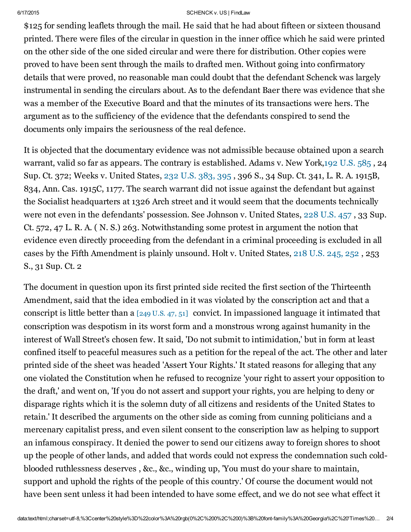#### 6/17/2015 SCHENCK v. US | FindLaw

\$125 for sending leaflets through the mail. He said that he had about fifteen or sixteen thousand printed. There were files of the circular in question in the inner office which he said were printed on the other side of the one sided circular and were there for distribution. Other copies were proved to have been sent through the mails to drafted men. Without going into confirmatory details that were proved, no reasonable man could doubt that the defendant Schenck was largely instrumental in sending the circulars about. As to the defendant Baer there was evidence that she was a member of the Executive Board and that the minutes of its transactions were hers. The argument as to the sufficiency of the evidence that the defendants conspired to send the documents only impairs the seriousness of the real defence.

It is objected that the documentary evidence was not admissible because obtained upon a search warrant, valid so far as appears. The contrary is established. Adams v. New York,192 [U.S.](http://caselaw.findlaw.com/us-supreme-court/192/585.html) 585, 24 Sup. Ct. 372; Weeks v. United States, 232 U.S. [383,](http://caselaw.findlaw.com/us-supreme-court/232/383.html#395) 395 , 396 S., 34 Sup. Ct. 341, L. R. A. 1915B, 834, Ann. Cas. 1915C, 1177. The search warrant did not issue against the defendant but against the Socialist headquarters at 1326 Arch street and it would seem that the documents technically were not even in the defendants' possession. See Johnson v. United States, 228 [U.S.](http://caselaw.findlaw.com/us-supreme-court/228/457.html) 457 , 33 Sup. Ct. 572, 47 L. R. A. ( N. S.) 263. Notwithstanding some protest in argument the notion that evidence even directly proceeding from the defendant in a criminal proceeding is excluded in all cases by the Fifth Amendment is plainly unsound. Holt v. United States, 218 U.S. [245,](http://caselaw.findlaw.com/us-supreme-court/218/245.html#252) 252 , 253 S., 31 Sup. Ct. 2

The document in question upon its first printed side recited the first section of the Thirteenth Amendment, said that the idea embodied in it was violated by the conscription act and that a conscript is little better than a [249 U.S. 47, 51] convict. In impassioned language it intimated that conscription was despotism in its worst form and a monstrous wrong against humanity in the interest of Wall Street's chosen few. It said, 'Do not submit to intimidation,' but in form at least confined itself to peaceful measures such as a petition for the repeal of the act. The other and later printed side of the sheet was headed 'Assert Your Rights.' It stated reasons for alleging that any one violated the Constitution when he refused to recognize 'your right to assert your opposition to the draft,' and went on, 'If you do not assert and support your rights, you are helping to deny or disparage rights which it is the solemn duty of all citizens and residents of the United States to retain.' It described the arguments on the other side as coming from cunning politicians and a mercenary capitalist press, and even silent consent to the conscription law as helping to support an infamous conspiracy. It denied the power to send our citizens away to foreign shores to shoot up the people of other lands, and added that words could not express the condemnation such coldblooded ruthlessness deserves , &c., &c., winding up, 'You must do your share to maintain, support and uphold the rights of the people of this country.' Of course the document would not have been sent unless it had been intended to have some effect, and we do not see what effect it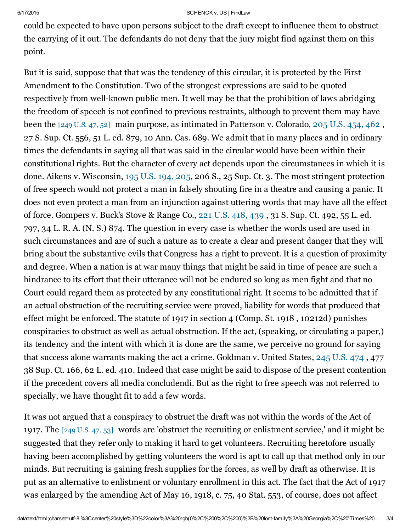#### 6/17/2015 SCHENCK v. US | FindLaw

could be expected to have upon persons subject to the draft except to influence them to obstruct the carrying of it out. The defendants do not deny that the jury might find against them on this point.

But it is said, suppose that that was the tendency of this circular, it is protected by the First Amendment to the Constitution. Two of the strongest expressions are said to be quoted respectively from well-known public men. It well may be that the prohibition of laws abridging the freedom of speech is not confined to previous restraints, although to prevent them may have been the [249 U.S. 47, 52] main purpose, as intimated in Patterson v. Colorado, 205 U.S. [454,](http://caselaw.findlaw.com/us-supreme-court/205/454.html#462) 462, 27 S. Sup. Ct. 556, 51 L. ed. 879, 10 Ann. Cas. 689. We admit that in many places and in ordinary times the defendants in saying all that was said in the circular would have been within their constitutional rights. But the character of every act depends upon the circumstances in which it is done. Aikens v. Wisconsin, 195 [U.S.](http://caselaw.findlaw.com/us-supreme-court/195/194.html#205) 194, 205, 206 S., 25 Sup. Ct. 3. The most stringent protection of free speech would not protect a man in falsely shouting fire in a theatre and causing a panic. It does not even protect a man from an injunction against uttering words that may have all the effect of force. Gompers v. Buck's Stove & Range Co., 221 [U.S.](http://caselaw.findlaw.com/us-supreme-court/221/418.html#439) 418, 439 , 31 S. Sup. Ct. 492, 55 L. ed. 797, 34 L. R. A. (N. S.) 874. The question in every case is whether the words used are used in such circumstances and are of such a nature as to create a clear and present danger that they will bring about the substantive evils that Congress has a right to prevent. It is a question of proximity and degree. When a nation is at war many things that might be said in time of peace are such a hindrance to its effort that their utterance will not be endured so long as men fight and that no Court could regard them as protected by any constitutional right. It seems to be admitted that if an actual obstruction of the recruiting service were proved, liability for words that produced that effect might be enforced. The statute of 1917 in section 4 (Comp. St. 1918 , 10212d) punishes conspiracies to obstruct as well as actual obstruction. If the act, (speaking, or circulating a paper,) its tendency and the intent with which it is done are the same, we perceive no ground for saying that success alone warrants making the act a crime. Goldman v. United States, 245 [U.S.](http://caselaw.findlaw.com/us-supreme-court/245/474.html) 474 , 477 38 Sup. Ct. 166, 62 L. ed. 410. Indeed that case might be said to dispose of the present contention if the precedent covers all media concludendi. But as the right to free speech was not referred to specially, we have thought fit to add a few words.

It was not argued that a conspiracy to obstruct the draft was not within the words of the Act of 1917. The [249 U.S. 47, 53] words are 'obstruct the recruiting or enlistment service,' and it might be suggested that they refer only to making it hard to get volunteers. Recruiting heretofore usually having been accomplished by getting volunteers the word is apt to call up that method only in our minds. But recruiting is gaining fresh supplies for the forces, as well by draft as otherwise. It is put as an alternative to enlistment or voluntary enrollment in this act. The fact that the Act of 1917 was enlarged by the amending Act of May 16, 1918, c. 75, 40 Stat. 553, of course, does not affect